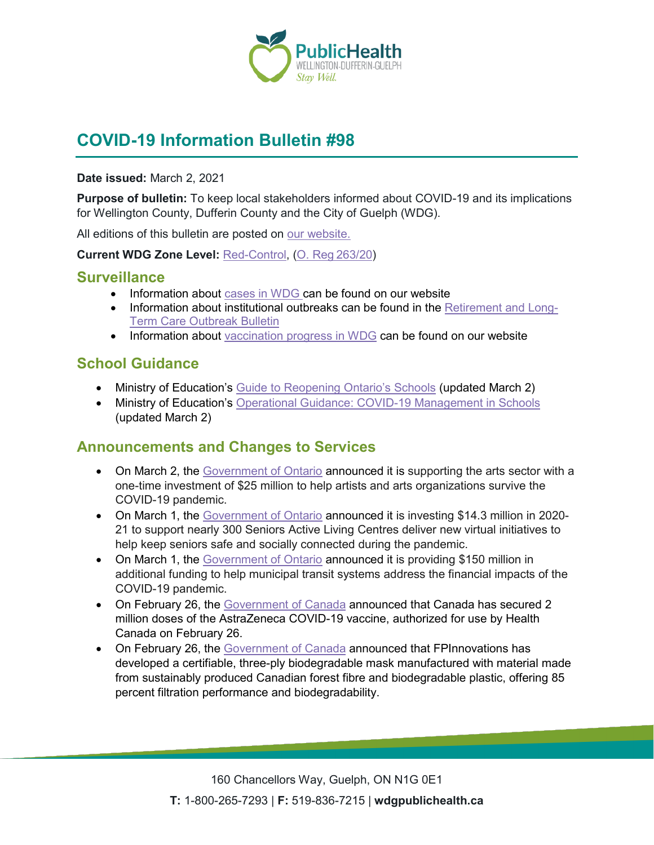

# **COVID-19 Information Bulletin #98**

#### **Date issued:** March 2, 2021

**Purpose of bulletin:** To keep local stakeholders informed about COVID-19 and its implications for Wellington County, Dufferin County and the City of Guelph (WDG).

All editions of this bulletin are posted on [our website.](https://www.wdgpublichealth.ca/your-health/covid-19-information-workplaces-and-living-spaces/community-stakeholder-bulletins)

**Current WDG Zone Level:** [Red-Control,](https://www.ontario.ca/page/covid-19-response-framework-keeping-ontario-safe-and-open#control) ([O. Reg 263/20](https://www.ontario.ca/laws/regulation/200263))

### **Surveillance**

- Information about [cases in WDG](https://wdgpublichealth.ca/your-health/covid-19-information-public/status-cases-wdg) can be found on our website
- Information about institutional outbreaks can be found in the [Retirement and Long-](https://wdgpublichealth.ca/node/1542)[Term Care Outbreak Bulletin](https://wdgpublichealth.ca/node/1542)
- Information about [vaccination progress](https://www.wdgpublichealth.ca/your-health/covid-19-information-public/covid-19-vaccine-information-public) in WDG can be found on our website

### **School Guidance**

- Ministry of Education's [Guide to Reopening Ontario's Schools](https://can01.safelinks.protection.outlook.com/?url=https%3A%2F%2Fwww.ontario.ca%2Fpage%2Fguide-reopening-ontarios-schools&data=04%7C01%7Cbrian.capovilla%40wellingtoncdsb.ca%7C15e4e24d337d46687dfc08d8dd9f90d3%7Cdd6a87562a174765826d56bad2b808eb%7C0%7C0%7C637503024710656087%7CUnknown%7CTWFpbGZsb3d8eyJWIjoiMC4wLjAwMDAiLCJQIjoiV2luMzIiLCJBTiI6Ik1haWwiLCJXVCI6Mn0%3D%7C1000&sdata=YTATpAoDUm%2FTTpoU%2BTDwFSXfj9HiJjypaqDD5%2FVtddQ%3D&reserved=0) (updated March 2)
- Ministry of Education's [Operational Guidance: COVID-19 Management in Schools](https://can01.safelinks.protection.outlook.com/?url=https%3A%2F%2Fwww.ontario.ca%2Fpage%2Foperational-guidance-covid-19-management-schools&data=04%7C01%7Cbrian.capovilla%40wellingtoncdsb.ca%7C15e4e24d337d46687dfc08d8dd9f90d3%7Cdd6a87562a174765826d56bad2b808eb%7C0%7C0%7C637503024710656087%7CUnknown%7CTWFpbGZsb3d8eyJWIjoiMC4wLjAwMDAiLCJQIjoiV2luMzIiLCJBTiI6Ik1haWwiLCJXVCI6Mn0%3D%7C1000&sdata=BzkqaHIWcC8vVedC8Cf1iSh7SICE%2BhPBiA4gnxd1qpI%3D&reserved=0) (updated March 2)

### **Announcements and Changes to Services**

- On March 2, the [Government of Ontario](https://news.ontario.ca/en/release/60515/ontario-provides-significant-financial-support-to-the-arts-sector) announced it is supporting the arts sector with a one-time investment of \$25 million to help artists and arts organizations survive the COVID-19 pandemic.
- On March 1, the [Government of Ontario](https://news.ontario.ca/en/release/60498/ontario-keeping-seniors-safe-and-socially-connected-during-covid-19) announced it is investing \$14.3 million in 2020- 21 to support nearly 300 Seniors Active Living Centres deliver new virtual initiatives to help keep seniors safe and socially connected during the pandemic.
- On March 1, the [Government of Ontario](https://news.ontario.ca/en/release/60496/ontario-increases-support-for-transit-across-the-province) announced it is providing \$150 million in additional funding to help municipal transit systems address the financial impacts of the COVID-19 pandemic.
- On February 26, the [Government of Canada](https://www.canada.ca/en/public-services-procurement/news/2021/02/canada-to-receive-2-million-doses-of-astrazenecas-covid-19-vaccine-manufactured-by-the-serum-institute-of-india.html) announced that Canada has secured 2 million doses of the AstraZeneca COVID-19 vaccine, authorized for use by Health Canada on February 26.
- On February 26, the [Government of Canada](https://www.canada.ca/en/natural-resources-canada/news/2021/02/canadas-forest-sector-develops-made-in-canada-biodegradable-ppe-solution.html) announced that FPInnovations has developed a certifiable, three-ply biodegradable mask manufactured with material made from sustainably produced Canadian forest fibre and biodegradable plastic, offering 85 percent filtration performance and biodegradability.